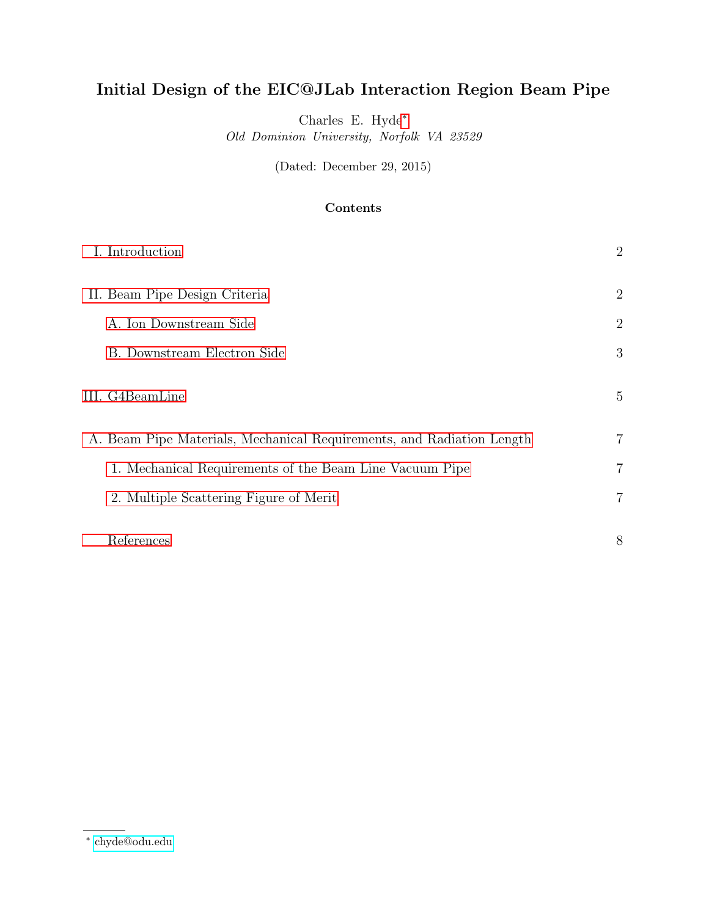# Initial Design of the EIC@JLab Interaction Region Beam Pipe

Charles E. Hyde[∗](#page-0-0) Old Dominion University, Norfolk VA 23529

(Dated: December 29, 2015)

# Contents

| I. Introduction                                                       | $\overline{2}$ |
|-----------------------------------------------------------------------|----------------|
| II. Beam Pipe Design Criteria                                         | $\overline{2}$ |
| A. Ion Downstream Side                                                | $\overline{2}$ |
| B. Downstream Electron Side                                           | 3              |
| III. G4BeamLine                                                       | 5              |
| A. Beam Pipe Materials, Mechanical Requirements, and Radiation Length | 7              |
| 1. Mechanical Requirements of the Beam Line Vacuum Pipe               | 7              |
| 2. Multiple Scattering Figure of Merit                                | 7              |
| References                                                            | 8              |

<span id="page-0-0"></span><sup>∗</sup> [chyde@odu.edu](mailto:chyde@odu.edu)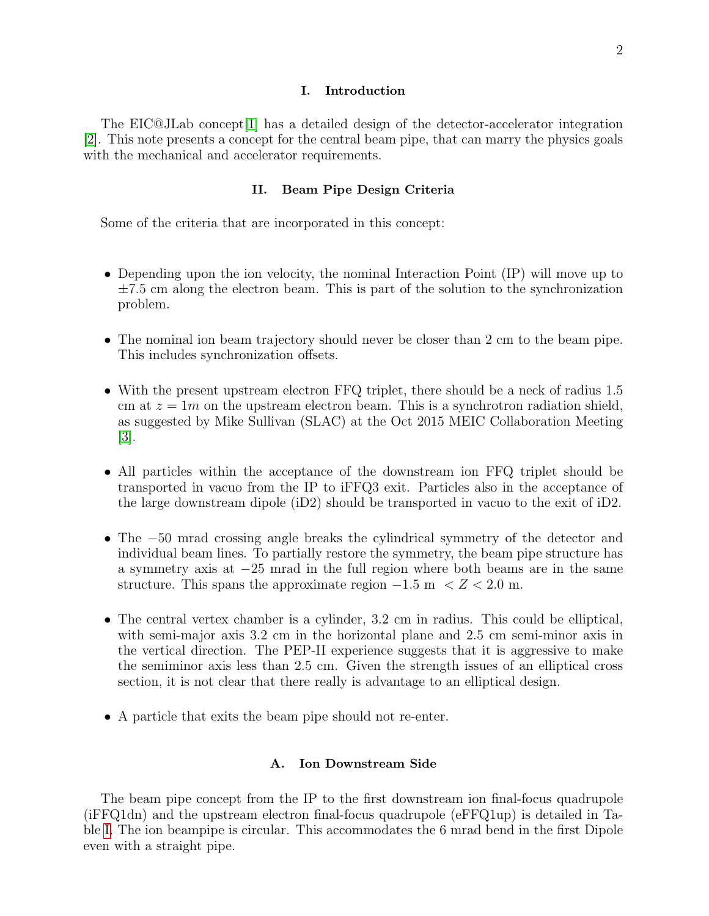#### I. Introduction

<span id="page-1-1"></span><span id="page-1-0"></span>The EIC@JLab concept[\[1\]](#page-7-1) has a detailed design of the detector-accelerator integration [\[2\]](#page-7-2). This note presents a concept for the central beam pipe, that can marry the physics goals with the mechanical and accelerator requirements.

## II. Beam Pipe Design Criteria

Some of the criteria that are incorporated in this concept:

- Depending upon the ion velocity, the nominal Interaction Point (IP) will move up to  $\pm 7.5$  cm along the electron beam. This is part of the solution to the synchronization problem.
- The nominal ion beam trajectory should never be closer than 2 cm to the beam pipe. This includes synchronization offsets.
- With the present upstream electron FFQ triplet, there should be a neck of radius 1.5 cm at  $z = 1m$  on the upstream electron beam. This is a synchrotron radiation shield, as suggested by Mike Sullivan (SLAC) at the Oct 2015 MEIC Collaboration Meeting [\[3\]](#page-7-3).
- All particles within the acceptance of the downstream ion FFQ triplet should be transported in vacuo from the IP to iFFQ3 exit. Particles also in the acceptance of the large downstream dipole (iD2) should be transported in vacuo to the exit of iD2.
- The −50 mrad crossing angle breaks the cylindrical symmetry of the detector and individual beam lines. To partially restore the symmetry, the beam pipe structure has a symmetry axis at −25 mrad in the full region where both beams are in the same structure. This spans the approximate region  $-1.5 \text{ m} < Z < 2.0 \text{ m}$ .
- The central vertex chamber is a cylinder, 3.2 cm in radius. This could be elliptical, with semi-major axis 3.2 cm in the horizontal plane and 2.5 cm semi-minor axis in the vertical direction. The PEP-II experience suggests that it is aggressive to make the semiminor axis less than 2.5 cm. Given the strength issues of an elliptical cross section, it is not clear that there really is advantage to an elliptical design.
- <span id="page-1-2"></span>• A particle that exits the beam pipe should not re-enter.

#### A. Ion Downstream Side

<span id="page-1-3"></span>The beam pipe concept from the IP to the first downstream ion final-focus quadrupole (iFFQ1dn) and the upstream electron final-focus quadrupole (eFFQ1up) is detailed in Table [I.](#page-2-0) The ion beampipe is circular. This accommodates the 6 mrad bend in the first Dipole even with a straight pipe.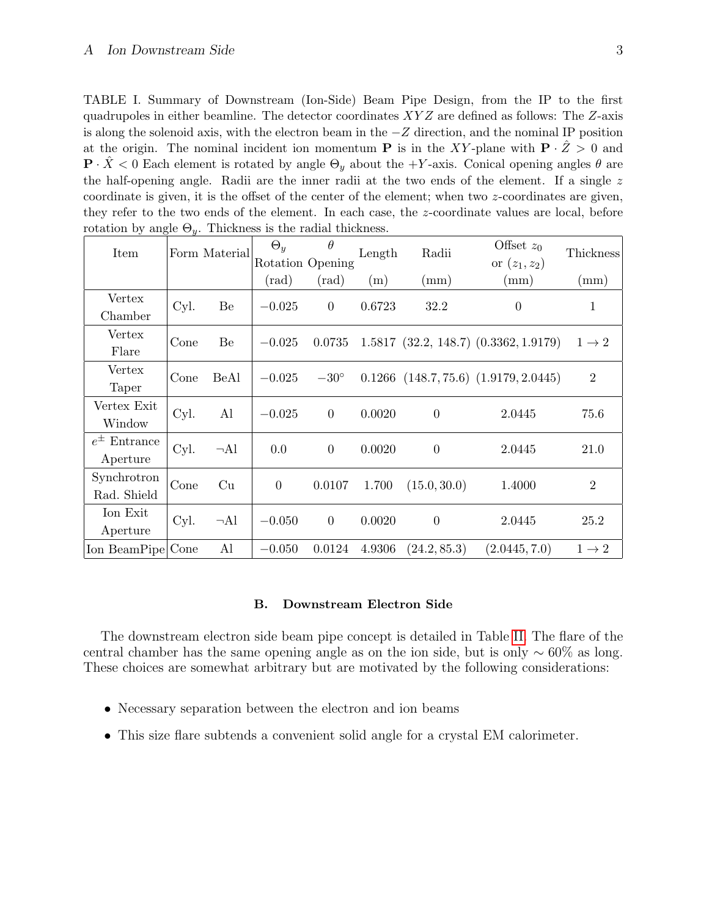<span id="page-2-0"></span>TABLE I. Summary of Downstream (Ion-Side) Beam Pipe Design, from the IP to the first quadrupoles in either beamline. The detector coordinates  $XYZ$  are defined as follows: The  $Z$ -axis is along the solenoid axis, with the electron beam in the −Z direction, and the nominal IP position at the origin. The nominal incident ion momentum **P** is in the XY-plane with  $P \cdot Z > 0$  and  $\mathbf{P} \cdot \tilde{X} < 0$  Each element is rotated by angle  $\Theta_y$  about the +Y-axis. Conical opening angles  $\theta$  are the half-opening angle. Radii are the inner radii at the two ends of the element. If a single  $z$ coordinate is given, it is the offset of the center of the element; when two z-coordinates are given, they refer to the two ends of the element. In each case, the z-coordinate values are local, before rotation by angle  $\Theta_{\nu}$ . Thickness is the radial thickness.

| Item                           |      | Form Material | $\Theta_y$       | $\theta$<br>Rotation Opening | Length | Radii          | Offset $z_0$<br>or $(z_1, z_2)$             | Thickness         |
|--------------------------------|------|---------------|------------------|------------------------------|--------|----------------|---------------------------------------------|-------------------|
|                                |      |               | $(\mathrm{rad})$ | $(\mathrm{rad})$             | (m)    | (mm)           | (mm)                                        | (mm)              |
| Vertex<br>Chamber              | Cyl. | Be            | $-0.025$         | $\overline{0}$               | 0.6723 | 32.2           | $\theta$                                    | 1                 |
| Vertex<br>Flare                | Cone | Be            | $-0.025$         | 0.0735                       |        |                | $1.5817$ $(32.2, 148.7)$ $(0.3362, 1.9179)$ | $1 \rightarrow 2$ |
| Vertex<br>Taper                | Cone | BeAl          | $-0.025$         | $-30^{\circ}$                |        |                | $0.1266$ $(148.7, 75.6)$ $(1.9179, 2.0445)$ | $\overline{2}$    |
| Vertex Exit<br>Window          | Cyl. | Al            | $-0.025$         | $\overline{0}$               | 0.0020 | $\theta$       | 2.0445                                      | 75.6              |
| $e^{\pm}$ Entrance<br>Aperture | Cyl. | $\neg$ Al     | 0.0              | $\overline{0}$               | 0.0020 | $\overline{0}$ | 2.0445                                      | 21.0              |
| Synchrotron<br>Rad. Shield     | Cone | Cu            | $\theta$         | 0.0107                       | 1.700  | (15.0, 30.0)   | 1.4000                                      | $\overline{2}$    |
| Ion Exit<br>Aperture           | Cyl. | $\neg$ Al     | $-0.050$         | $\theta$                     | 0.0020 | $\theta$       | 2.0445                                      | 25.2              |
| Ion BeamPipe Cone              |      | Al            | $-0.050$         | 0.0124                       | 4.9306 | (24.2, 85.3)   | (2.0445, 7.0)                               | $1 \rightarrow 2$ |

#### B. Downstream Electron Side

The downstream electron side beam pipe concept is detailed in Table [II.](#page-3-0) The flare of the central chamber has the same opening angle as on the ion side, but is only  $\sim 60\%$  as long. These choices are somewhat arbitrary but are motivated by the following considerations:

- Necessary separation between the electron and ion beams
- This size flare subtends a convenient solid angle for a crystal EM calorimeter.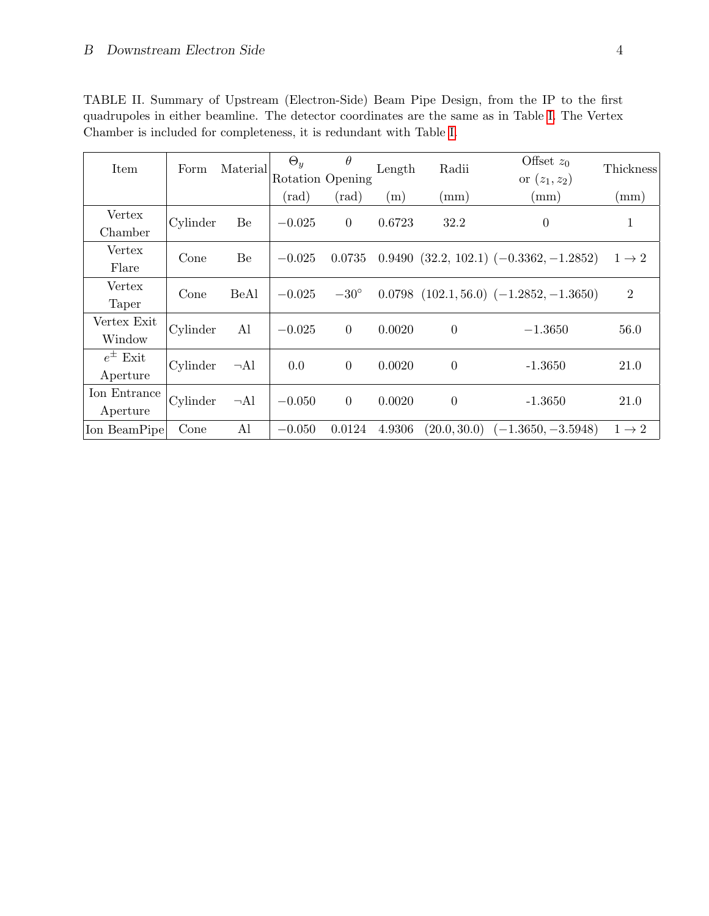| Item                       | Form     | Material  | $\Theta_y$     | Ĥ<br>Rotation Opening | Length | Radii            | Offset $z_0$<br>or $(z_1, z_2)$               | Thickness         |
|----------------------------|----------|-----------|----------------|-----------------------|--------|------------------|-----------------------------------------------|-------------------|
|                            |          |           | $(\text{rad})$ | $(\text{rad})$        | (m)    | (mm)             | (mm)                                          | (mm)              |
| Vertex<br>Chamber          | Cylinder | Be        | $-0.025$       | $\theta$              | 0.6723 | 32.2             | $\theta$                                      | 1                 |
| Vertex<br>Flare            | Cone     | Be        | $-0.025$       | 0.0735                |        |                  | $0.9490$ $(32.2, 102.1)$ $(-0.3362, -1.2852)$ | $1 \rightarrow 2$ |
| Vertex<br>Taper            | Cone     | BeAl      | $-0.025$       | $-30^{\circ}$         |        |                  | $0.0798$ $(102.1, 56.0)$ $(-1.2852, -1.3650)$ | $\overline{2}$    |
| Vertex Exit<br>Window      | Cylinder | Al        | $-0.025$       | $\overline{0}$        | 0.0020 | $\boldsymbol{0}$ | $-1.3650$                                     | 56.0              |
| $e^{\pm}$ Exit<br>Aperture | Cylinder | $\neg$ Al | 0.0            | $\overline{0}$        | 0.0020 | $\theta$         | $-1.3650$                                     | 21.0              |
| Ion Entrance<br>Aperture   | Cylinder | $\neg$ Al | $-0.050$       | $\overline{0}$        | 0.0020 | $\boldsymbol{0}$ | $-1.3650$                                     | 21.0              |
| Ion BeamPipe               | Cone     | Al        | $-0.050$       | 0.0124                | 4.9306 | (20.0, 30.0)     | $(-1.3650, -3.5948)$                          | $1 \rightarrow 2$ |

<span id="page-3-0"></span>TABLE II. Summary of Upstream (Electron-Side) Beam Pipe Design, from the IP to the first quadrupoles in either beamline. The detector coordinates are the same as in Table [I.](#page-2-0) The Vertex Chamber is included for completeness, it is redundant with Table [I.](#page-2-0)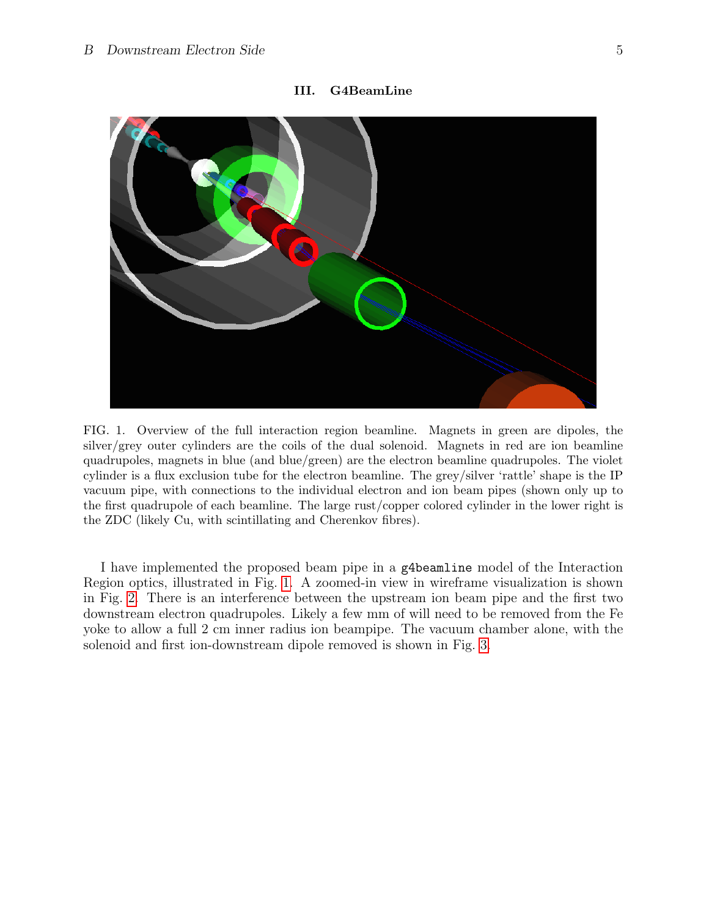<span id="page-4-0"></span>

III. G4BeamLine

<span id="page-4-1"></span>FIG. 1. Overview of the full interaction region beamline. Magnets in green are dipoles, the silver/grey outer cylinders are the coils of the dual solenoid. Magnets in red are ion beamline quadrupoles, magnets in blue (and blue/green) are the electron beamline quadrupoles. The violet cylinder is a flux exclusion tube for the electron beamline. The grey/silver 'rattle' shape is the IP vacuum pipe, with connections to the individual electron and ion beam pipes (shown only up to the first quadrupole of each beamline. The large rust/copper colored cylinder in the lower right is the ZDC (likely Cu, with scintillating and Cherenkov fibres).

I have implemented the proposed beam pipe in a g4beamline model of the Interaction Region optics, illustrated in Fig. [1.](#page-4-1) A zoomed-in view in wireframe visualization is shown in Fig. [2.](#page-5-0) There is an interference between the upstream ion beam pipe and the first two downstream electron quadrupoles. Likely a few mm of will need to be removed from the Fe yoke to allow a full 2 cm inner radius ion beampipe. The vacuum chamber alone, with the solenoid and first ion-downstream dipole removed is shown in Fig. [3.](#page-5-1)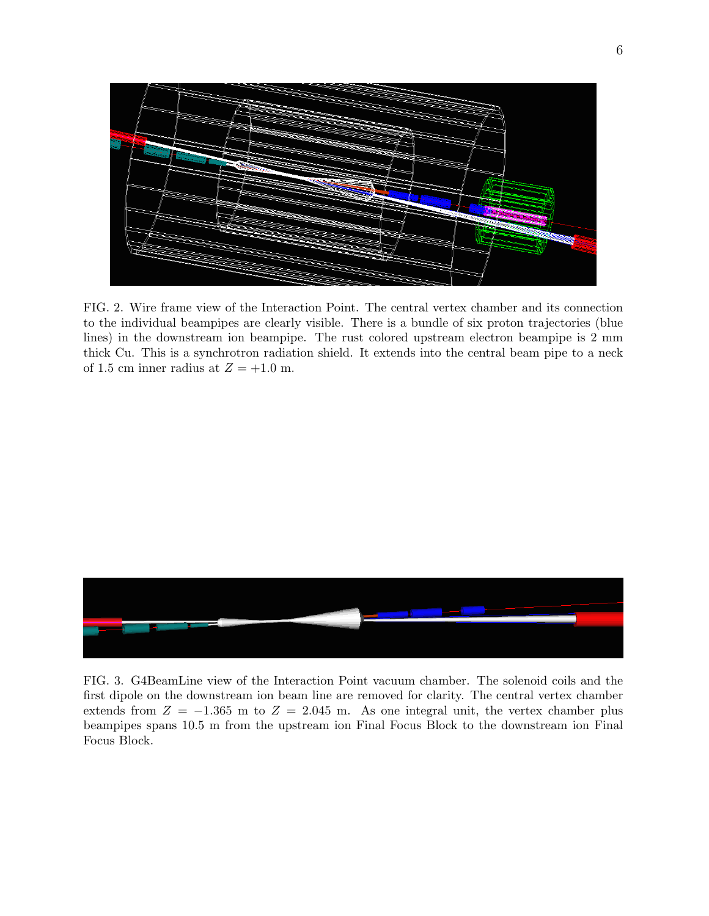

<span id="page-5-0"></span>FIG. 2. Wire frame view of the Interaction Point. The central vertex chamber and its connection to the individual beampipes are clearly visible. There is a bundle of six proton trajectories (blue lines) in the downstream ion beampipe. The rust colored upstream electron beampipe is 2 mm thick Cu. This is a synchrotron radiation shield. It extends into the central beam pipe to a neck of 1.5 cm inner radius at  $Z = +1.0$  m.



<span id="page-5-1"></span>FIG. 3. G4BeamLine view of the Interaction Point vacuum chamber. The solenoid coils and the first dipole on the downstream ion beam line are removed for clarity. The central vertex chamber extends from  $Z = -1.365$  m to  $Z = 2.045$  m. As one integral unit, the vertex chamber plus beampipes spans 10.5 m from the upstream ion Final Focus Block to the downstream ion Final Focus Block.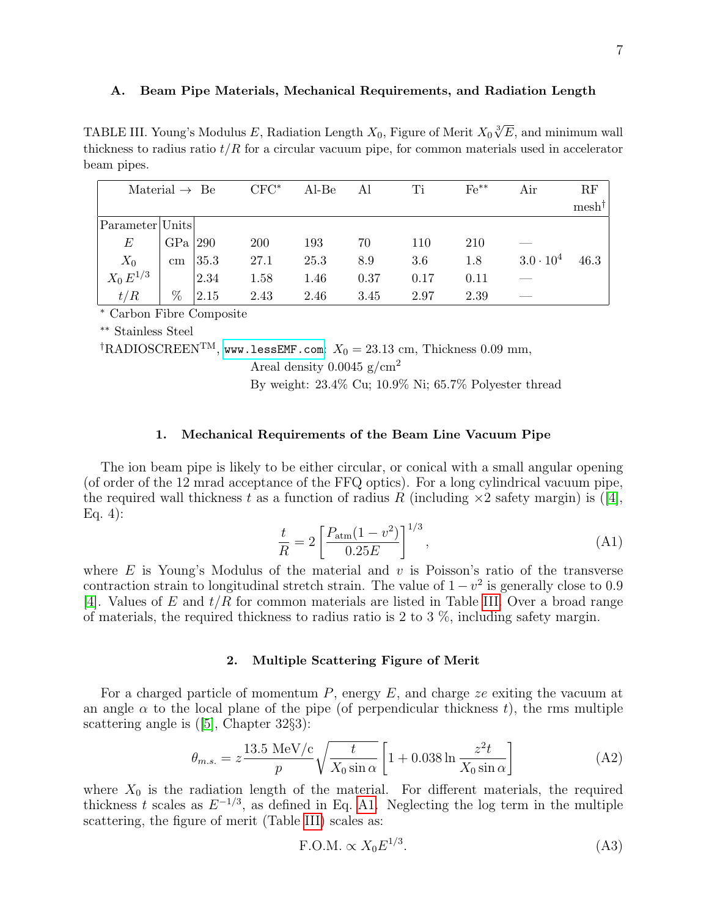#### <span id="page-6-3"></span><span id="page-6-0"></span>A. Beam Pipe Materials, Mechanical Requirements, and Radiation Length

TABLE III. Young's Modulus E, Radiation Length  $X_0$ , Figure of Merit  $X_0\sqrt[3]{E}$ , and minimum wall thickness to radius ratio  $t/R$  for a circular vacuum pipe, for common materials used in accelerator beam pipes.

| Material $\rightarrow$ Be        |                 |      | $CFC^*$ | Al-Be | Al   | Ti   | $Fe***$ | Air                | RF               |
|----------------------------------|-----------------|------|---------|-------|------|------|---------|--------------------|------------------|
|                                  |                 |      |         |       |      |      |         |                    | $mesh^{\dagger}$ |
| $\text{Parameter} \text{Units} $ |                 |      |         |       |      |      |         |                    |                  |
| $E\,$                            | $GPa$  290      |      | 200     | 193   | 70   | 110  | 210     |                    |                  |
| $X_0$                            | $\,\mathrm{cm}$ | 35.3 | 27.1    | 25.3  | 8.9  | 3.6  | 1.8     | $3.0 \cdot 10^{4}$ | 46.3             |
| $X_0 E^{1/3}$                    |                 | 2.34 | 1.58    | 1.46  | 0.37 | 0.17 | 0.11    |                    |                  |
| t/R                              | %               | 2.15 | 2.43    | 2.46  | 3.45 | 2.97 | 2.39    |                    |                  |

<sup>∗</sup> Carbon Fibre Composite

∗∗ Stainless Steel

<span id="page-6-1"></span><sup>†</sup>RADIOSCREEN<sup>TM</sup>, <www.lessEMF.com>:  $X_0 = 23.13$  cm, Thickness 0.09 mm,

Areal density  $0.0045$  g/cm<sup>2</sup>

By weight: 23.4% Cu; 10.9% Ni; 65.7% Polyester thread

## 1. Mechanical Requirements of the Beam Line Vacuum Pipe

The ion beam pipe is likely to be either circular, or conical with a small angular opening (of order of the 12 mrad acceptance of the FFQ optics). For a long cylindrical vacuum pipe, the required wall thickness t as a function of radius R (including  $\times 2$  safety margin) is ([\[4\]](#page-7-4), Eq. 4):

<span id="page-6-4"></span>
$$
\frac{t}{R} = 2 \left[ \frac{P_{\text{atm}}(1 - v^2)}{0.25E} \right]^{1/3},\tag{A1}
$$

<span id="page-6-2"></span>where  $E$  is Young's Modulus of the material and  $v$  is Poisson's ratio of the transverse contraction strain to longitudinal stretch strain. The value of  $1 - v^2$  is generally close to 0.9 [\[4\]](#page-7-4). Values of E and  $t/R$  for common materials are listed in Table [III.](#page-6-3) Over a broad range of materials, the required thickness to radius ratio is 2 to 3 %, including safety margin.

#### 2. Multiple Scattering Figure of Merit

For a charged particle of momentum  $P$ , energy  $E$ , and charge ze exiting the vacuum at an angle  $\alpha$  to the local plane of the pipe (of perpendicular thickness t), the rms multiple scattering angle is ([\[5\]](#page-7-5), Chapter 32§3):

$$
\theta_{m.s.} = z \frac{13.5 \text{ MeV/c}}{p} \sqrt{\frac{t}{X_0 \sin \alpha}} \left[ 1 + 0.038 \ln \frac{z^2 t}{X_0 \sin \alpha} \right]
$$
(A2)

where  $X_0$  is the radiation length of the material. For different materials, the required thickness t scales as  $E^{-1/3}$ , as defined in Eq. [A1.](#page-6-4) Neglecting the log term in the multiple scattering, the figure of merit (Table [III\)](#page-6-3) scales as:

$$
F.O.M. \propto X_0 E^{1/3}.
$$
 (A3)